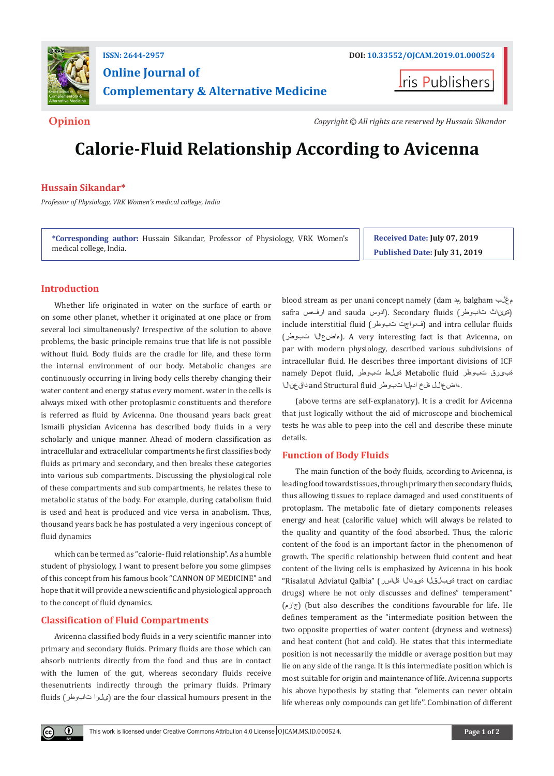

## **ISSN: 2644-2957 DOI: [10.33552/OJCAM.2019.01.000524](http://dx.doi.org/10.33552/OJCAM.2019.01.000524) Online Journal of Complementary & Alternative Medicine**

**Iris Publishers** 

**Opinion** *Copyright © All rights are reserved by Hussain Sikandar*

# **Calorie-Fluid Relationship According to Avicenna**

#### **Hussain Sikandar\***

*Professor of Physiology, VRK Women's medical college, India*

**\*Corresponding author:** Hussain Sikandar, Professor of Physiology, VRK Women's medical college, India.

**Received Date: July 07, 2019 Published Date: July 31, 2019**

### **Introduction**

Whether life originated in water on the surface of earth or on some other planet, whether it originated at one place or from several loci simultaneously? Irrespective of the solution to above problems, the basic principle remains true that life is not possible without fluid. Body fluids are the cradle for life, and these form the internal environment of our body. Metabolic changes are continuously occurring in living body cells thereby changing their water content and energy status every moment. water in the cells is always mixed with other protoplasmic constituents and therefore is referred as fluid by Avicenna. One thousand years back great Ismaili physician Avicenna has described body fluids in a very scholarly and unique manner. Ahead of modern classification as intracellular and extracellular compartments he first classifies body fluids as primary and secondary, and then breaks these categories into various sub compartments. Discussing the physiological role of these compartments and sub compartments, he relates these to metabolic status of the body. For example, during catabolism fluid is used and heat is produced and vice versa in anabolism. Thus, thousand years back he has postulated a very ingenious concept of fluid dynamics

which can be termed as "calorie- fluid relationship". As a humble student of physiology, I want to present before you some glimpses of this concept from his famous book "CANNON OF MEDICINE" and hope that it will provide a new scientific and physiological approach to the concept of fluid dynamics.

#### **Classification of Fluid Compartments**

Avicenna classified body fluids in a very scientific manner into primary and secondary fluids. Primary fluids are those which can absorb nutrients directly from the food and thus are in contact with the lumen of the gut, whereas secondary fluids receive thesenutrients indirectly through the primary fluids. Primary fluids (تابوطر ىلوا (are the four classical humours present in the

blood stream as per unani concept namely (dam مد, balgham مغلب safra ارفص and sauda (ادوس). Secondary fluids (تابوطر ان السوطر الادوس include interstitial fluid (تبوطر فىواجت (and intra cellular fluids (تبوطر ءاضعالا(. A very interesting fact is that Avicenna, on par with modern physiology, described various subdivisions of intracellular fluid. He describes three important divisions of ICF namely Depot fluid, تبوطر ةیلط Metabolic fluid تبوطر ةبیرق .ءاضع الل ةلخ ادمل اتبوطر and Structural fluid داق عن ال

(above terms are self-explanatory). It is a credit for Avicenna that just logically without the aid of microscope and biochemical tests he was able to peep into the cell and describe these minute details.

#### **Function of Body Fluids**

The main function of the body fluids, according to Avicenna, is leading food towards tissues, through primary then secondary fluids, thus allowing tissues to replace damaged and used constituents of protoplasm. The metabolic fate of dietary components releases energy and heat (calorific value) which will always be related to the quality and quantity of the food absorbed. Thus, the caloric content of the food is an important factor in the phenomenon of growth. The specific relationship between fluid content and heat content of the living cells is emphasized by Avicenna in his book "Risalatul Adviatul Qalbia" (ةلاسر ةیودالا ةیبلقلا tract on cardiac drugs) where he not only discusses and defines" temperament" (جازم) (but also describes the conditions favourable for life. He defines temperament as the "intermediate position between the two opposite properties of water content (dryness and wetness) and heat content (hot and cold). He states that this intermediate position is not necessarily the middle or average position but may lie on any side of the range. It is this intermediate position which is most suitable for origin and maintenance of life. Avicenna supports his above hypothesis by stating that "elements can never obtain life whereas only compounds can get life''. Combination of different